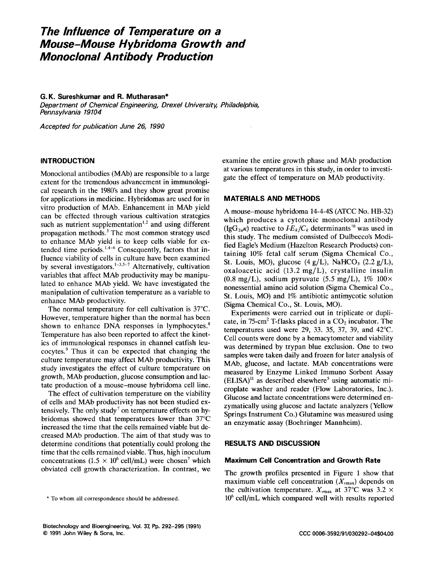# **The Influence of Temperature on a Mouse-Mouse Hybridoma Growth and Monoclonal Antibody Prature on a<br>Production<br>Production<br>A** *z***an\*<br>***z**Drexel University, Philadelphia,*

## **G. K. Sureshkumar and R. Mutharasan\***

Department of Chemical Engineering, Drexel University, Philadelphia, Pennsylvania 19104 G.K. Sureshkumar and R. Mutharasan\*<br>*Department of Chemical Engineering, Drexel University, Philadelphia,<br>Pennsylvania 19104<br>Accepted for publication June 26, 1990* 

#### **INTRODUCTION**

Monoclonal antibodies (MAb) are responsible to a large extent for the tremendous advancement in immunological research in the 1980's and they show great promise for applications in medicine. Hybridomas are used for in vitro production of MAb. Enhancement in MAb yield can be effected through various cultivation strategies such as nutrient supplementation<sup>1,2</sup> and using different propagation methods. $3$  The most common strategy used to enhance MAb yield is to keep cells viable for extended time periods.<sup>1,4-6</sup> Consequently, factors that influence viability of cells in culture have been examined by several investigators. $1-3,5-7$  Alternatively, cultivation variables that affect MAb productivity may be manipulated to enhance MAb yield. We have investigated the manipulation of cultivation temperature as a variable to enhance MAb productivity.

The normal temperature for cell cultivation is 37°C. However, temperature higher than the normal has been shown to enhance DNA responses in lymphocytes.<sup>8</sup> Temperature has also been reported to affect the kinetics of immunological responses in channel catfish leucocytes.' Thus it can be expected that changing the culture temperature may affect MAb productivity. This study investigates the effect of culture temperature on growth, MAb production, glucose consumption and lactate production of a mouse-mouse hybridoma cell line.

The effect of cultivation temperature on the viability of cells and MAb productivity has not been studied extensively. The only study<sup>7</sup> on temperature effects on hybridomas showed that temperatures lower than 37°C increased the time that the cells remained viable but decreased MAb production. The aim of that study was to determine conditions that potentially could prolong the time that the cells remained viable. Thus, high inoculum concentrations (1.5  $\times$  10<sup>6</sup> cell/mL) were chosen<sup>7</sup> which obviated cell growth characterization. In contrast, we

antibodies (MAb) are responsible to a large<br>antibodies (MAb) are responsible to a large examine the entire growth phase and MAb production<br>antibodies (MAb) are responsible to a large examine the entire growth phase and MAb examine the entire growth phase and MAb production at various temperatures in this study, in order to investigate the effect of temperature on MAb productivity.

# **MATERIALS AND METHODS**

A mouse-mouse hybridoma 14-4-4s (ATCC No. HB-32) which produces a cytotoxic monoclonal antibody  $(IgG_{2a}\kappa)$  reactive to  $I\!-\!E_k/C_k$  determinants<sup>10</sup> was used in this study. The medium consisted of Dulbecco's Modified Eagle's Medium (Hazelton Research Products) containing 10% fetal calf serum (Sigma Chemical Co., A mouse-mouse hybridoma 14-4-4S (ATCC No. HB-32)<br>which produces a cytotoxic monoclonal antibody<br>(IgG<sub>2a</sub>k) reactive to  $I-E_k/C_k$  determinants<sup>10</sup> was used in<br>this study. The medium consisted of Dulbecco's Modi-<br>fied Eagle's oxaloacetic acid (13.2 mg/L), crystalline insulin  $(0.8 \text{ mg/L})$ , sodium pyruvate  $(5.5 \text{ mg/L})$ , 1%  $100 \times$ nonessential amino acid solution (Sigma Chemical Co., St. Louis, MO) and 1% antibiotic antimycotic solution (Sigma Chemical Co., St. Louis, MO).

Experiments were carried out in triplicate or duplicate, in  $75$ -cm<sup>2</sup> T-flasks placed in a  $CO<sub>2</sub>$  incubator. The temperatures used were 29, 33. 35, 37, 39, and 42°C. Cell counts were done by a hemacytometer and viability was determined by trypan blue exclusion. One to two samples were taken daily and frozen for later analysis of MAb, glucose, and lactate. MAb concentrations were measured by Enzyme Linked Immuno Sorbent Assay  $(ELISA)^{11}$  as described elsewhere<sup>5</sup> using automatic microplate washer and reader (Flow Laboratories, Inc.). Glucose and lactate concentrations were determined enzymatically using glucose and lactate analyzers (Yellow Springs Instrument Co.) Glutamine was measured using an enzymatic assay (Boehringer Mannheim).

# **RESULTS AND DISCUSSION**

## **Maximum Cell Concentration and Growth Rate**

The growth profiles presented in Figure 1 show that **RESULTS AND DISCUSSION**<br>**Maximum Cell Concentration and Growth Rate**<br>The growth profiles presented in Figure 1 show that<br>maximum viable cell concentration ( $X_{vmax}$ ) depends on<br>the cultivation temperature.  $X_{vmax}$  at 37°C the cultivation temperature.  $X_{\text{max}}$  at 37°C was 3.2  $\times$  $*$  To whom all correspondence should be addressed.<br>  $*$  To whom all correspondence should be addressed.<br>  $*$  To whom all correspondence should be addressed.<br>  $*$  To whom all correspondence should be addressed.<br>  $*$  To  $*$ **Biotechnology and Bioengineering, Vol. 37, Pp. 292–295 (1991)<br>
<b>Biotechnology and Bioengineering, Vol. 37, Pp. 292–295 (1991)**<br> **CCC 0006-3592/91/030292-04\$04.00**<br> **CCC 0006-3592/91/030292-04\$04.00**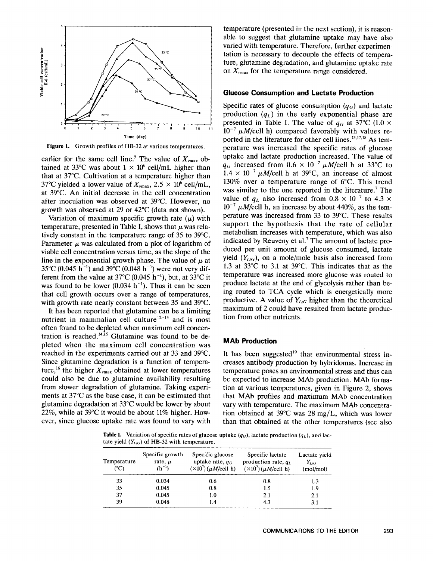

**Figure 1. Growth profiles of HB-32 at various temperatures.** 

earlier for the same cell line.<sup>5</sup> The that at 37°C. Cultivation at a temperature higher than 37°C yielded a lower value of  $X_{\text{max}}$ , 2.5  $\times$  10<sup>6</sup> cell/mL, at 39°C. An initial decrease in the cell concentration after inoculation was observed at 39°C. However, no growth was observed at 29 or 42°C (data not shown).

temperature, presented in Table I, shows that  $\mu$  was relatively constant in the temperature range of 35 to 39°C. Parameter  $\mu$  was calculated from a plot of logarithm of viable cell concentration versus time, as the slope of the line in the exponential growth phase. The value of  $\mu$  at 35°C (0.045 h<sup>-1</sup>) and 39°C (0.048 h<sup>-1</sup>) were not very different from the value at 37°C (0.045 h<sup>-1</sup>), but, at 33°C it was found to be lower  $(0.034 \text{ h}^{-1})$ . Thus it can be seen that cell growth occurs over a range of temperatures, with growth rate nearly constant between 35 and 39°C.

It has been reported that glutamine can be a limiting nutrient in mammalian cell culture<sup>12-14</sup> and is most often found to be depleted when maximum cell concentration is reached.<sup>14,15</sup> Glutamine was found to be depleted when the maximum cell concentration was reached in the experiments carried out at 33 and 39°C. Since glutamine degradation is a function of temperature,<sup>16</sup> the higher  $X_{\nu max}$  obtained at lower temperatures could also be due to glutamine availability resulting from slower degradation of glutamine. Taking experiments at 37°C as the base case, it can be estimated that glutamine degradation at 33°C would be lower by about 22%, while at 39°C it would be about 11% higher. However, since glucose uptake rate was found to vary with

temperature (presented in the next section), it is reasonable to suggest that glutamine uptake may have also varied with temperature. Therefore, further experimentation **is** necessary to decouple the effects of temperature, glutamine degradation, and glutamine uptake rate on  $X_{\text{max}}$  for the temperature range considered. faction is necessary to decouple the effects of tempera-<br>ture, glutamine degradation, and glutamine uptake rate<br>on  $X_{\text{vmax}}$  for the temperature range considered.<br>**Glucose Consumption and Lactate Production**<br>Specific rat

# **Glucose Consumption and Lactate Production**

Specific rates of glucose consumption  $(q_G)$  and lactate<br>production  $(q_L)$  in the early exponential phase are<br>presented in Table I. The value of  $q_G$  at 37°C (1.0 ×<br> $10^{-7} \mu M/cell$  h) compared favorably with values re-<br>ported Specific rates of glucose consumption  $(q_G)$  and lactate<br>production  $(q_L)$  in the early exponential phase are<br>presented in Table I. The value of  $q_G$  at 37°C (1.0  $\times$ <br>**Figure 1.** Growth profiles of HB-32 at various tempera ined at 33°C was about  $1 \times 10^6$  cell/mL higher than  $q_G$  increased from  $0.6 \times 10^{-7} \mu M/cell$  h at 33°C to at at at 37°C. Cultivation at a temperature higher than  $1.4 \times 10^{-7} \mu M/cell$  h at 39°C, an increase of almost °C yiel production  $(q_L)$  in the early exponential phase are presented in Table I. The value of  $q_G$  at 37°C (1.0  $\times$  $10^{-7}$   $\mu$ M/cell h) compared favorably with values reported in the literature for other cell lines. $^{13,17,18}$  As temperature was increased the specific rates of glucose uptake and lactate production increased. The value of  $q_G$  increased from  $0.6 \times 10^{-7} \mu M/c$ ell h at 33°C to  $1.4 \times 10^{-7} \mu M$ /cell h at 39°C, an increase of almost 130% over a temperature range of 6°C. This trend was similar to the one reported in the literature.<sup>7</sup> The value of  $q_L$  also increased from  $0.8 \times 10^{-7}$  to  $4.3 \times$  $10^{-7}$   $\mu$ M/cell h, an increase by about 440%, as the temperature was increased from 33 to 39°C. These results support the hypothesis that the rate of cellular metabolism increases with temperature, which was also indicated by Reuveny et al.<sup>7</sup> The amount of lactate produced per unit amount of glucose consumed, lactate yield  $(Y_{L/G})$ , on a mole/mole basis also increased from 1.3 at 33°C to 3.1 at 39°C. This indicates that as the temperature was increased more glucose was routed to produce lactate at the end of glycolysis rather than being routed to TCA cycle which is energetically more productive. A value of *YLic* higher than the theoretical maximum of 2 could have resulted from lactate production from other nutrients.

## **MAb Production**

It has been suggested<sup>19</sup> that environmental stress increases antibody production by hybridomas. Increase in temperature poses an environmental stress and thus can be expected to increase MAb production. MAb formation at various temperatures, given in Figure 2, shows that MAb profiles and maximum MAb concentration vary with temperature. The maximum MAb concentration obtained at 39°C was 28 mg/L, which was lower than that obtained at the other temperatures (see also **Table 1. Table 1. Variation of specific rates of glucose uptake**  $(q_G)$ , **lactate production**  $(q_L)$ , **and lactate yield** ( $Y_{L/G}$ ) of HB-32 with temperature.<br> **Table I.** Variation of specific rates of glucose uptake

**Table I.** Variation of specific rates of glucose uptake  $(q_G)$ , lactate production  $(q_L)$ , and lactate yield  $(Y_{L/G})$  of HB-32 with temperature.

| Temperature<br>(°C) | Specific growth<br>rate, $\mu$<br>$(h^{-1})$ | Specific glucose<br>uptake rate, $q_G$<br>$(\times 10^7)$ ( $\mu$ M/cell h) | Specific lactate<br>production rate, $q_L$<br>$(\times 10^7)$ ( $\mu$ M/cell h) | Lactate yield<br>$Y_{L/G}$<br>(mod/mol) |
|---------------------|----------------------------------------------|-----------------------------------------------------------------------------|---------------------------------------------------------------------------------|-----------------------------------------|
| 33                  | 0.034                                        | 0.6                                                                         | 0.8                                                                             | 1.3                                     |
| 35                  | 0.045                                        | 0.8                                                                         | 1.5                                                                             | 1.9                                     |
| 37                  | 0.045                                        | 1.0                                                                         | 2.1                                                                             | 2.1                                     |
| 39                  | 0.048                                        | 1.4                                                                         | 4.3                                                                             | 3.1                                     |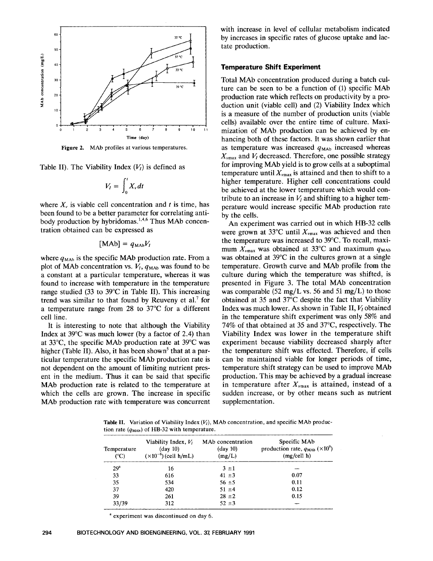

$$
V_I = \int_0^t X_v dt
$$

concentration and *t* is time, has been found to be a better parameter for correlating antibody production by hybridomas. $^{1,4,6}$  Thus MAb concentration obtained can be expressed as

$$
[MAb] = q_{MAb}V_I
$$

where  $q_{\text{MAb}}$  is the specific MAb production rate. From a plot of MAb concentration vs.  $V_1$ ,  $q_{\text{MAb}}$  was found to be a constant at a particular temperature, whereas it was found to increase with temperature in the temperature range studied (33 to 39°C in Table 11). This increasing trend was similar to that found by Reuveny et al.<sup>7</sup> for a temperature range from 28 to 37°C for a different cell line.

It is interesting to note that although the Viability Index at 39°C was much lower (by a factor of **2.4)** than at 33"C, the specific MAb production rate at 39°C was higher (Table II). Also, it has been shown<sup>5</sup> that at a particular temperature the specific MAb production rate is not dependent on the amount of limiting nutrient present in the medium. Thus it can be said that specific MAb production rate is related to the temperature at which the cells are grown. The increase in specific MAb production rate with temperature was concurrent with increase in level of cellular metabolism indicated by increases in specific rates of glucose uptake and lactate production.

## **Temperature Shift Experiment**

Figure 2. MAb profiles at various temperatures.<br>
Figure 2. MAb profiles at various temperatures.<br>
Time (day)<br>
Figure 2. MAb profiles at various temperatures.<br>
The case of the number of production can be achieved by en-<br>
Fi Table 11). The Viability Index ( $V_I$ ) is defined as<br>  $V_{\text{H}} = \int_1^t X_x dt$  and  $V_I = \int_1^t X_y dt$  is the strengthend and here the external extra ( $V_I$ ) is defined as<br>  $V_{\text{H}} = \int_1^t X_y dt$  is the production of MAb production can Figure 2. MA0 profiles at various emperatores.<br>  $X_{\text{max}}$  and  $V_I$  decreased. Therefore, one possible strategy<br>  $V_I = \int_0^t X_v dt$ <br>  $W = \int_0^t X_v dt$ <br>
where  $X_v$  is viable cell concentration and t is time, has<br>
been found to be a Time (day)<br>
hancing both of these factors. It was shown earlier that<br>
files at various temperatures.<br>
as temperature was increased  $q_{\text{MAb}}$  increased whereas<br>  $X_{\text{vmax}}$  and  $V_I$  decreased. Therefore, one possible strat Total MAb concentration produced during a batch culture can be seen to be a function of (1) specific MAb production rate which reflects on productivity by a production unit (viable cell) and (2) Viability Index which is a measure of the number of production units (viable cells) available over the entire time of culture. Maximization of MAb production can be achieved by enhancing both of these factors. It was shown earlier that as temperature was increased  $q_{\text{MAb}}$  increased whereas  $X_{\nu max}$  and  $V_I$  decreased. Therefore, one possible strategy for improving MAb yield is to grow cells at a suboptimal temperature until  $X_{\text{max}}$  is attained and then to shift to a higher temperature. Higher cell concentrations could be achieved at the lower temperature which would contribute to an increase in  $V_l$  and shifting to a higher temperature would increase specific MAb production rate by the cells.

An experiment was carried out in which HB-32 cells were grown at 33<sup>o</sup>C until  $X_{\text{max}}$  was achieved and then the temperature was increased to 39°C. To recall, maximum  $X_{\nu max}$  was obtained at 33°C and maximum  $q_{\text{MAb}}$ was obtained at 39°C in the cultures grown at a single temperature. Growth curve and MAb profile from the culture during which the temperature was shifted, is presented in Figure 3. The total MAb concentration was comparable (52 mg/L vs. 56 and 51 mg/L) to those obtained at 35 and 37°C despite the fact that Viability Index was much lower. As shown in Table II,  $V_l$  obtained in the temperature shift experiment was only 58% and 74% of that obtained at 35 and 37"C, respectively. The Viability Index was lower in the temperature shift experiment because viability decreased sharply after the temperature shift was effected. Therefore, if cells can be maintained viable for longer periods of time, temperature shift strategy can be used to improve MAb production. This may be achieved by a gradual increase in temperature after  $X_{\nu max}$  is attained, instead of a sudden increase, or by other means such as nutrient supplementation.

Table **11.** Variation of Viability Index **(b),** MAb concentration, and specific MAb production rate  $(q_{\text{MAb}})$  of HB-32 with temperature.

| Temperature<br>(°C) | Viability Index, $V_I$<br>$(\text{day } 10)$<br>$(\times 10^{-6})$ (cell h/mL) | MA <sub>b</sub> concentration<br>$(\text{day } 10)$<br>(mg/L) | Specific MAb<br>production rate, $q_{\text{MAb}} (\times 10^9)$<br>(mg/cell h) |
|---------------------|--------------------------------------------------------------------------------|---------------------------------------------------------------|--------------------------------------------------------------------------------|
| 29 <sup>a</sup>     | 16                                                                             | $3 \pm 1$                                                     |                                                                                |
| 33                  | 616                                                                            | $41 \pm 3$                                                    | 0.07                                                                           |
| 35                  | 534                                                                            | $56 \pm 5$                                                    | 0.11                                                                           |
| 37                  | 420                                                                            | $51 \pm 4$                                                    | 0.12                                                                           |
| 39                  | 261                                                                            | $28 \pm 2$                                                    | 0.15                                                                           |
| 33/39               | 312                                                                            | $52 + 3$                                                      |                                                                                |

<sup>a</sup> experiment was discontinued on day 6.